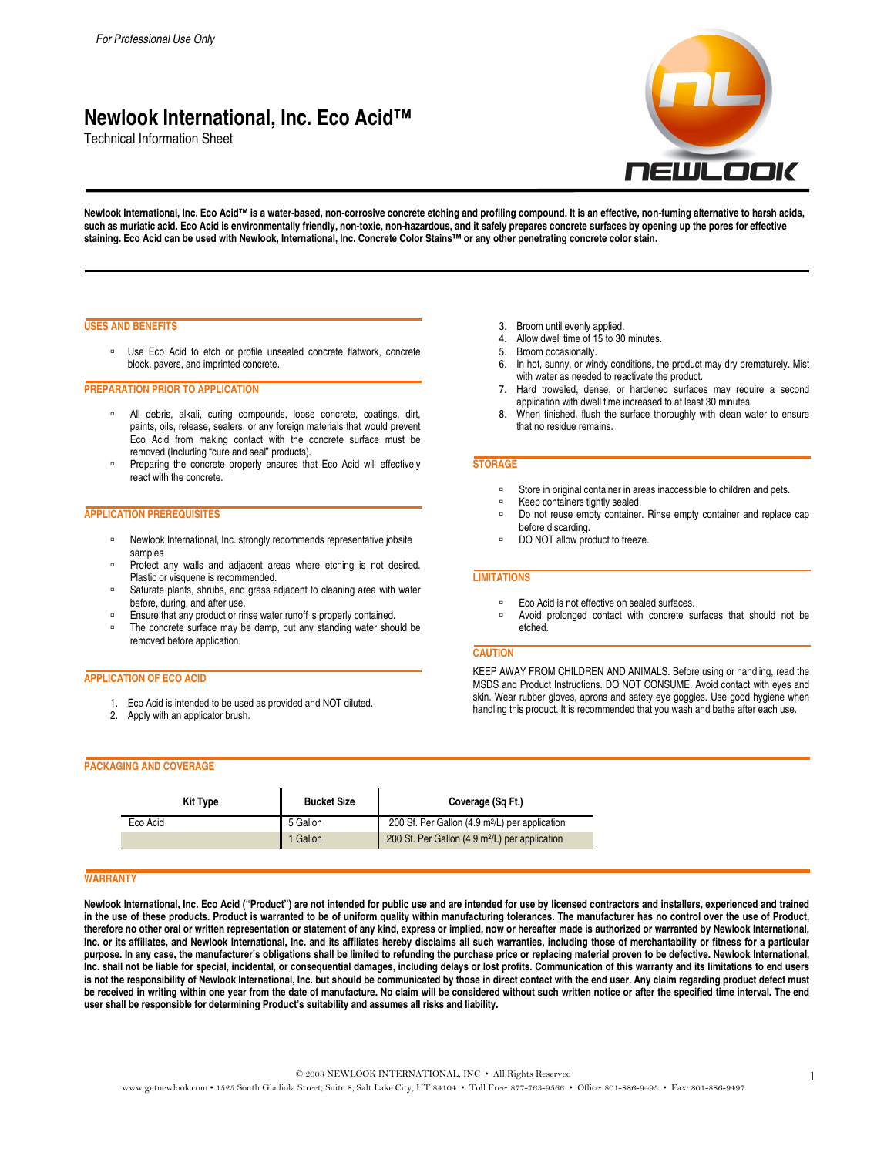# **Newlook International, Inc. Eco Acid™**

Technical Information Sheet



Newlook International, Inc. Eco Acid™ is a water-based, non-corrosive concrete etching and profiling compound. It is an effective, non-fuming alternative to harsh acids, **such as muriatic acid. Eco Acid is environmentally friendly, non-toxic, non-hazardous, and it safely prepares concrete surfaces by opening up the pores for effective staining. Eco Acid can be used with Newlook, International, Inc. Concrete Color Stains™ or any other penetrating concrete color stain.** 

#### **USES AND BENEFITS**

Duse Eco Acid to etch or profile unsealed concrete flatwork, concrete block, pavers, and imprinted concrete.

#### **PREPARATION PRIOR TO APPLICATION**

- <sup>n</sup> All debris, alkali, curing compounds, loose concrete, coatings, dirt, paints, oils, release, sealers, or any foreign materials that would prevent Eco Acid from making contact with the concrete surface must be removed (Including "cure and seal" products).
- **Preparing the concrete properly ensures that Eco Acid will effectively** react with the concrete.

# **APPLICATION PREREQUISITES**

- □ Newlook International, Inc. strongly recommends representative jobsite samples
- **Protect any walls and adjacent areas where etching is not desired.** Plastic or visquene is recommended.
- Saturate plants, shrubs, and grass adjacent to cleaning area with water before, during, and after use.
- **Ensure that any product or rinse water runoff is properly contained.**
- The concrete surface may be damp, but any standing water should be removed before application.

#### **APPLICATION OF ECO ACID**

- 1. Eco Acid is intended to be used as provided and NOT diluted.
- 2. Apply with an applicator brush.
- 3. Broom until evenly applied.<br>4. Allow dwell time of 15 to 30
- Allow dwell time of 15 to 30 minutes.
- 5. Broom occasionally.
- 6. In hot, sunny, or windy conditions, the product may dry prematurely. Mist with water as needed to reactivate the product.
- Hard troweled, dense, or hardened surfaces may require a second application with dwell time increased to at least 30 minutes.
- 8. When finished, flush the surface thoroughly with clean water to ensure that no residue remains.

#### **STORAGE**

- Store in original container in areas inaccessible to children and pets.
- Keep containers tightly sealed.
- Do not reuse empty container. Rinse empty container and replace cap before discarding.
- DO NOT allow product to freeze.

### **LIMITATIONS**

- Eco Acid is not effective on sealed surfaces.
- Avoid prolonged contact with concrete surfaces that should not be etched.

# **CAUTION**

KEEP AWAY FROM CHILDREN AND ANIMALS. Before using or handling, read the MSDS and Product Instructions. DO NOT CONSUME. Avoid contact with eyes and skin. Wear rubber gloves, aprons and safety eye goggles. Use good hygiene when handling this product. It is recommended that you wash and bathe after each use.

## **PACKAGING AND COVERAGE**

| <b>Kit Type</b> | <b>Bucket Size</b> | Coverage (Sq Ft.)                                          |
|-----------------|--------------------|------------------------------------------------------------|
| Eco Acid        | 5 Gallon           | 200 Sf. Per Gallon (4.9 m <sup>2</sup> /L) per application |
|                 | 1 Gallon           | 200 Sf. Per Gallon (4.9 m <sup>2</sup> /L) per application |

#### **WARRANTY**

Newlook International, Inc. Eco Acid ("Product") are not intended for public use and are intended for use by licensed contractors and installers, experienced and trained in the use of these products. Product is warranted to be of uniform quality within manufacturing tolerances. The manufacturer has no control over the use of Product, **therefore no other oral or written representation or statement of any kind, express or implied, now or hereafter made is authorized or warranted by Newlook International, Inc. or its affiliates, and Newlook International, Inc. and its affiliates hereby disclaims all such warranties, including those of merchantability or fitness for a particular purpose. In any case, the manufacturer's obligations shall be limited to refunding the purchase price or replacing material proven to be defective. Newlook International, Inc. shall not be liable for special, incidental, or consequential damages, including delays or lost profits. Communication of this warranty and its limitations to end users**  is not the responsibility of Newlook International, Inc. but should be communicated by those in direct contact with the end user. Any claim regarding product defect must **be received in writing within one year from the date of manufacture. No claim will be considered without such written notice or after the specified time interval. The end user shall be responsible for determining Product's suitability and assumes all risks and liability.**